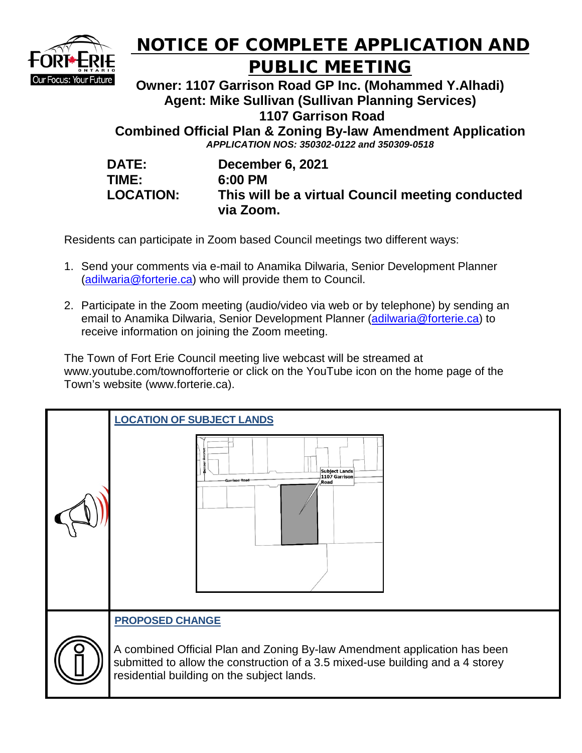

## NOTICE OF COMPLETE APPLICATION AND PUBLIC MEETING

**Owner: 1107 Garrison Road GP Inc. (Mohammed Y.Alhadi) Agent: Mike Sullivan (Sullivan Planning Services) 1107 Garrison Road** 

**Combined Official Plan & Zoning By-law Amendment Application** *APPLICATION NOS: 350302-0122 and 350309-0518* 

| <b>DATE:</b>    |
|-----------------|
| TIME:           |
| <b>LOCATION</b> |

**December 6, 2021 TIME: 6:00 PM LOCATION:** This will be a virtual Council meeting conducted **via Zoom.**

Residents can participate in Zoom based Council meetings two different ways:

- 1. Send your comments via e-mail to Anamika Dilwaria, Senior Development Planner [\(adilwaria@forterie.ca\)](mailto:adilwaria@forterie.ca) who will provide them to Council.
- 2. Participate in the Zoom meeting (audio/video via web or by telephone) by sending an email to Anamika Dilwaria, Senior Development Planner [\(adilwaria@forterie.ca\)](mailto:adilwaria@forterie.ca) to receive information on joining the Zoom meeting.

The Town of Fort Erie Council meeting live webcast will be streamed at www.youtube.com/townofforterie or click on the YouTube icon on the home page of the Town's website (www.forterie.ca).

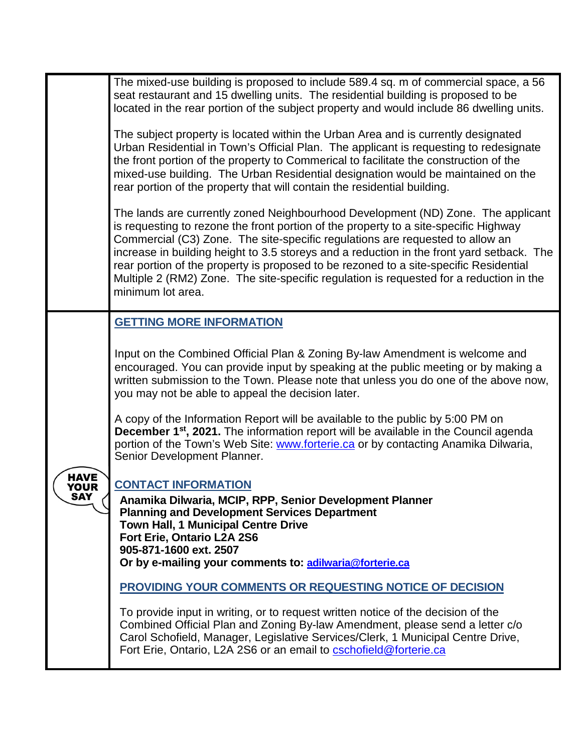|                     | The mixed-use building is proposed to include 589.4 sq. m of commercial space, a 56<br>seat restaurant and 15 dwelling units. The residential building is proposed to be<br>located in the rear portion of the subject property and would include 86 dwelling units.<br>The subject property is located within the Urban Area and is currently designated<br>Urban Residential in Town's Official Plan. The applicant is requesting to redesignate<br>the front portion of the property to Commerical to facilitate the construction of the<br>mixed-use building. The Urban Residential designation would be maintained on the<br>rear portion of the property that will contain the residential building.<br>The lands are currently zoned Neighbourhood Development (ND) Zone. The applicant<br>is requesting to rezone the front portion of the property to a site-specific Highway<br>Commercial (C3) Zone. The site-specific regulations are requested to allow an<br>increase in building height to 3.5 storeys and a reduction in the front yard setback. The<br>rear portion of the property is proposed to be rezoned to a site-specific Residential<br>Multiple 2 (RM2) Zone. The site-specific regulation is requested for a reduction in the<br>minimum lot area. |
|---------------------|--------------------------------------------------------------------------------------------------------------------------------------------------------------------------------------------------------------------------------------------------------------------------------------------------------------------------------------------------------------------------------------------------------------------------------------------------------------------------------------------------------------------------------------------------------------------------------------------------------------------------------------------------------------------------------------------------------------------------------------------------------------------------------------------------------------------------------------------------------------------------------------------------------------------------------------------------------------------------------------------------------------------------------------------------------------------------------------------------------------------------------------------------------------------------------------------------------------------------------------------------------------------------------|
|                     | <b>GETTING MORE INFORMATION</b>                                                                                                                                                                                                                                                                                                                                                                                                                                                                                                                                                                                                                                                                                                                                                                                                                                                                                                                                                                                                                                                                                                                                                                                                                                                |
|                     | Input on the Combined Official Plan & Zoning By-law Amendment is welcome and<br>encouraged. You can provide input by speaking at the public meeting or by making a<br>written submission to the Town. Please note that unless you do one of the above now,<br>you may not be able to appeal the decision later.                                                                                                                                                                                                                                                                                                                                                                                                                                                                                                                                                                                                                                                                                                                                                                                                                                                                                                                                                                |
|                     | A copy of the Information Report will be available to the public by 5:00 PM on<br>December 1 <sup>st</sup> , 2021. The information report will be available in the Council agenda<br>portion of the Town's Web Site: www.forterie.ca or by contacting Anamika Dilwaria,<br>Senior Development Planner.                                                                                                                                                                                                                                                                                                                                                                                                                                                                                                                                                                                                                                                                                                                                                                                                                                                                                                                                                                         |
| HAVE<br>YOUR<br>SAY | <b>CONTACT INFORMATION</b><br>Anamika Dilwaria, MCIP, RPP, Senior Development Planner<br><b>Planning and Development Services Department</b><br><b>Town Hall, 1 Municipal Centre Drive</b><br>Fort Erie, Ontario L2A 2S6<br>905-871-1600 ext. 2507<br>Or by e-mailing your comments to: adilwaria@forterie.ca                                                                                                                                                                                                                                                                                                                                                                                                                                                                                                                                                                                                                                                                                                                                                                                                                                                                                                                                                                  |
|                     | <b>PROVIDING YOUR COMMENTS OR REQUESTING NOTICE OF DECISION</b>                                                                                                                                                                                                                                                                                                                                                                                                                                                                                                                                                                                                                                                                                                                                                                                                                                                                                                                                                                                                                                                                                                                                                                                                                |
|                     | To provide input in writing, or to request written notice of the decision of the<br>Combined Official Plan and Zoning By-law Amendment, please send a letter c/o<br>Carol Schofield, Manager, Legislative Services/Clerk, 1 Municipal Centre Drive,<br>Fort Erie, Ontario, L2A 2S6 or an email to cschofield@forterie.ca                                                                                                                                                                                                                                                                                                                                                                                                                                                                                                                                                                                                                                                                                                                                                                                                                                                                                                                                                       |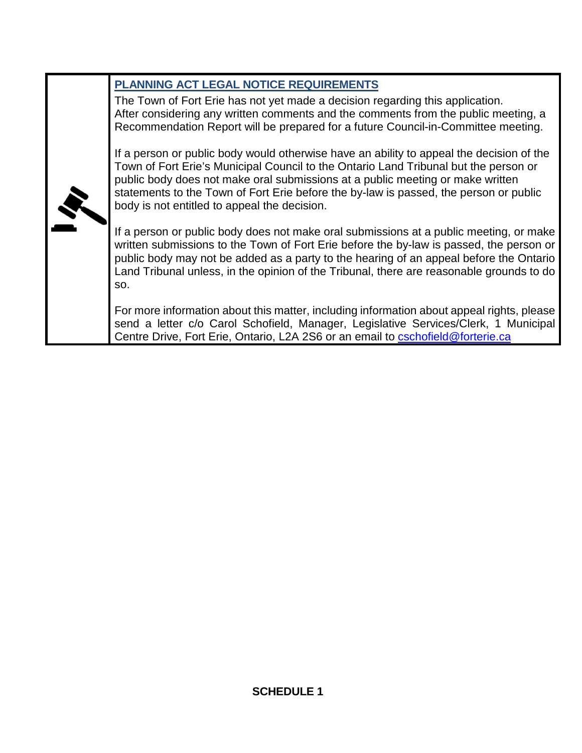| PLANNING ACT LEGAL NOTICE REQUIREMENTS                                                                                                                                                                                                                                                                                                                                                                      |
|-------------------------------------------------------------------------------------------------------------------------------------------------------------------------------------------------------------------------------------------------------------------------------------------------------------------------------------------------------------------------------------------------------------|
| The Town of Fort Erie has not yet made a decision regarding this application.<br>After considering any written comments and the comments from the public meeting, a<br>Recommendation Report will be prepared for a future Council-in-Committee meeting.                                                                                                                                                    |
| If a person or public body would otherwise have an ability to appeal the decision of the<br>Town of Fort Erie's Municipal Council to the Ontario Land Tribunal but the person or<br>public body does not make oral submissions at a public meeting or make written<br>statements to the Town of Fort Erie before the by-law is passed, the person or public<br>body is not entitled to appeal the decision. |
| If a person or public body does not make oral submissions at a public meeting, or make<br>written submissions to the Town of Fort Erie before the by-law is passed, the person or<br>public body may not be added as a party to the hearing of an appeal before the Ontario<br>Land Tribunal unless, in the opinion of the Tribunal, there are reasonable grounds to do<br>SO.                              |
| For more information about this matter, including information about appeal rights, please<br>send a letter c/o Carol Schofield, Manager, Legislative Services/Clerk, 1 Municipal<br>Centre Drive, Fort Erie, Ontario, L2A 2S6 or an email to cschofield@forterie.ca                                                                                                                                         |